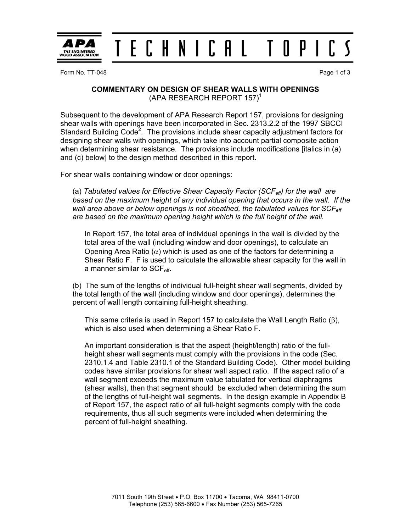

Form No. TT-048 **Page 1 of 3** 

## **COMMENTARY ON DESIGN OF SHEAR WALLS WITH OPENINGS**   $(APA RESEARCH REPORT 157)^T$

Subsequent to the development of APA Research Report 157, provisions for designing shear walls with openings have been incorporated in Sec. 2313.2.2 of the 1997 SBCCI Standard Building Code<sup>2</sup>. The provisions include shear capacity adjustment factors for designing shear walls with openings, which take into account partial composite action when determining shear resistance. The provisions include modifications [italics in (a) and (c) below] to the design method described in this report.

For shear walls containing window or door openings:

(a) *Tabulated values for Effective Shear Capacity Factor (SCFeff) for the wall are based on the maximum height of any individual opening that occurs in the wall. If the*  wall area above or below openings is not sheathed, the tabulated values for SCF<sub>eff</sub> *are based on the maximum opening height which is the full height of the wall.*

In Report 157, the total area of individual openings in the wall is divided by the total area of the wall (including window and door openings), to calculate an Opening Area Ratio ( $\alpha$ ) which is used as one of the factors for determining a Shear Ratio F. F is used to calculate the allowable shear capacity for the wall in a manner similar to  $SCF_{\text{eff}}$ .

(b) The sum of the lengths of individual full-height shear wall segments, divided by the total length of the wall (including window and door openings), determines the percent of wall length containing full-height sheathing.

This same criteria is used in Report 157 to calculate the Wall Length Ratio (β), which is also used when determining a Shear Ratio F.

An important consideration is that the aspect (height/length) ratio of the fullheight shear wall segments must comply with the provisions in the code (Sec. 2310.1.4 and Table 2310.1 of the Standard Building Code). Other model building codes have similar provisions for shear wall aspect ratio. If the aspect ratio of a wall segment exceeds the maximum value tabulated for vertical diaphragms (shear walls), then that segment should be excluded when determining the sum of the lengths of full-height wall segments. In the design example in Appendix B of Report 157, the aspect ratio of all full-height segments comply with the code requirements, thus all such segments were included when determining the percent of full-height sheathing.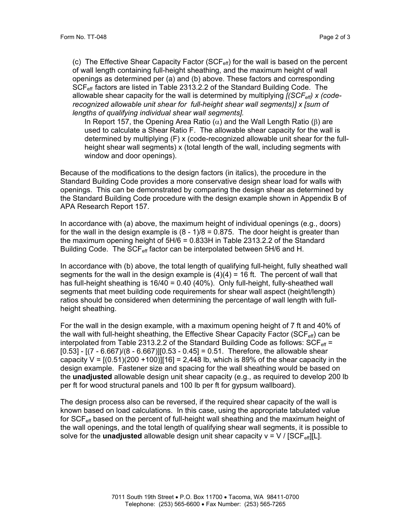(c) The Effective Shear Capacity Factor ( $SCF_{\text{eff}}$ ) for the wall is based on the percent of wall length containing full-height sheathing, and the maximum height of wall openings as determined per (a) and (b) above. These factors and corresponding SCF<sub>eff</sub> factors are listed in Table 2313.2.2 of the Standard Building Code. The allowable shear capacity for the wall is determined by multiplying *[(SCFeff) x (coderecognized allowable unit shear for full-height shear wall segments)] x [sum of lengths of qualifying individual shear wall segments].* 

In Report 157, the Opening Area Ratio ( $α$ ) and the Wall Length Ratio ( $β$ ) are used to calculate a Shear Ratio F. The allowable shear capacity for the wall is determined by multiplying (F) x (code-recognized allowable unit shear for the fullheight shear wall segments) x (total length of the wall, including segments with window and door openings).

Because of the modifications to the design factors (in italics), the procedure in the Standard Building Code provides a more conservative design shear load for walls with openings. This can be demonstrated by comparing the design shear as determined by the Standard Building Code procedure with the design example shown in Appendix B of APA Research Report 157.

In accordance with (a) above, the maximum height of individual openings (e.g., doors) for the wall in the design example is  $(8 - 1)/8 = 0.875$ . The door height is greater than the maximum opening height of 5H/6 = 0.833H in Table 2313.2.2 of the Standard Building Code. The SCF<sub>eff</sub> factor can be interpolated between 5H/6 and H.

In accordance with (b) above, the total length of qualifying full-height, fully sheathed wall segments for the wall in the design example is  $(4)(4) = 16$  ft. The percent of wall that has full-height sheathing is 16/40 = 0.40 (40%). Only full-height, fully-sheathed wall segments that meet building code requirements for shear wall aspect (height/length) ratios should be considered when determining the percentage of wall length with fullheight sheathing.

For the wall in the design example, with a maximum opening height of 7 ft and 40% of the wall with full-height sheathing, the Effective Shear Capacity Factor (SCF $_{\rm eff}$ ) can be interpolated from Table 2313.2.2 of the Standard Building Code as follows:  $SCF_{\text{eff}}$  =  $[0.53] - [(7 - 6.667)/(8 - 6.667)][0.53 - 0.45] = 0.51$ . Therefore, the allowable shear capacity  $V = [(0.51)(200 + 100)][16] = 2,448$  lb, which is 89% of the shear capacity in the design example. Fastener size and spacing for the wall sheathing would be based on the **unadjusted** allowable design unit shear capacity (e.g., as required to develop 200 lb per ft for wood structural panels and 100 lb per ft for gypsum wallboard).

The design process also can be reversed, if the required shear capacity of the wall is known based on load calculations. In this case, using the appropriate tabulated value for  $SCF<sub>eff</sub>$  based on the percent of full-height wall sheathing and the maximum height of the wall openings, and the total length of qualifying shear wall segments, it is possible to solve for the **unadjusted** allowable design unit shear capacity  $v = V / [SCF_{\text{eff}}][L]$ .